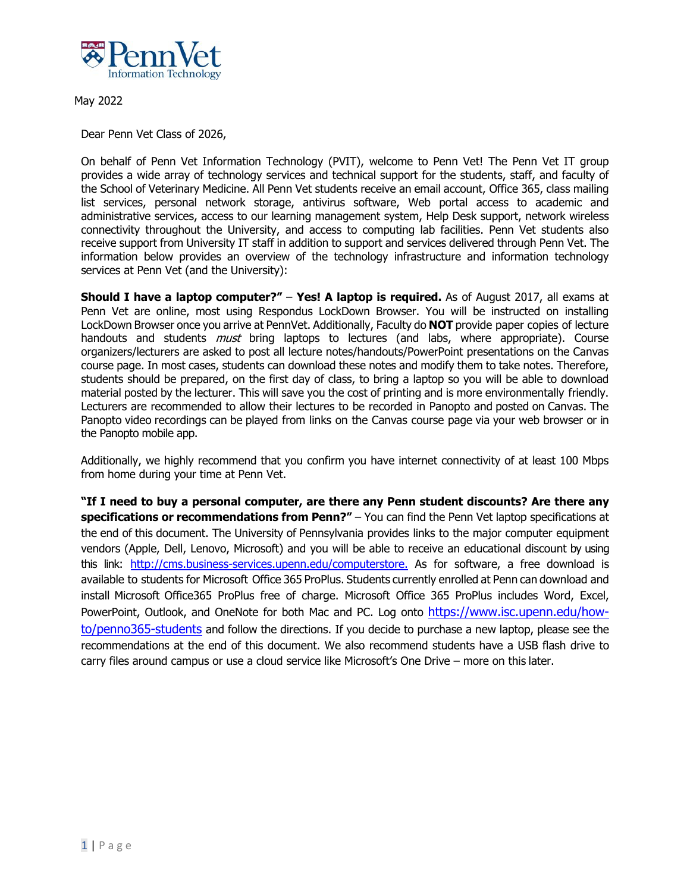

May 2022

Dear Penn Vet Class of 2026,

On behalf of Penn Vet Information Technology (PVIT), welcome to Penn Vet! The Penn Vet IT group provides a wide array of technology services and technical support for the students, staff, and faculty of the School of Veterinary Medicine. All Penn Vet students receive an email account, Office 365, class mailing list services, personal network storage, antivirus software, Web portal access to academic and administrative services, access to our learning management system, Help Desk support, network wireless connectivity throughout the University, and access to computing lab facilities. Penn Vet students also receive support from University IT staff in addition to support and services delivered through Penn Vet. The information below provides an overview of the technology infrastructure and information technology services at Penn Vet (and the University):

**Should I have a laptop computer?" - Yes! A laptop is required.** As of August 2017, all exams at Penn Vet are online, most using Respondus LockDown Browser. You will be instructed on installing LockDown Browser once you arrive at PennVet. Additionally, Faculty do **NOT** provide paper copies of lecture handouts and students *must* bring laptops to lectures (and labs, where appropriate). Course organizers/lecturers are asked to post all lecture notes/handouts/PowerPoint presentations on the Canvas course page. In most cases, students can download these notes and modify them to take notes. Therefore, students should be prepared, on the first day of class, to bring a laptop so you will be able to download material posted by the lecturer. This will save you the cost of printing and is more environmentally friendly. Lecturers are recommended to allow their lectures to be recorded in Panopto and posted on Canvas. The Panopto video recordings can be played from links on the Canvas course page via your web browser or in the Panopto mobile app.

Additionally, we highly recommend that you confirm you have internet connectivity of at least 100 Mbps from home during your time at Penn Vet.

**"If I need to buy a personal computer, are there any Penn student discounts? Are there any specifications or recommendations from Penn?"** – You can find the Penn Vet laptop specifications at the end of this document. The University of Pennsylvania provides links to the major computer equipment vendors (Apple, Dell, Lenovo, Microsoft) and you will be able to receive an educational discount by using this link: http://cms.business-services.upenn.edu/computerstore. As for software, a free download is available to students for Microsoft Office 365 ProPlus. Students currently enrolled at Penn can download and install Microsoft Office365 ProPlus free of charge. Microsoft Office 365 ProPlus includes Word, Excel, PowerPoint, Outlook, and OneNote for both Mac and PC. Log onto https://www.isc.upenn.edu/howto/penno365-students and follow the directions. If you decide to purchase a new laptop, please see the recommendations at the end of this document. We also recommend students have a USB flash drive to carry files around campus or use a cloud service like Microsoft's One Drive – more on this later.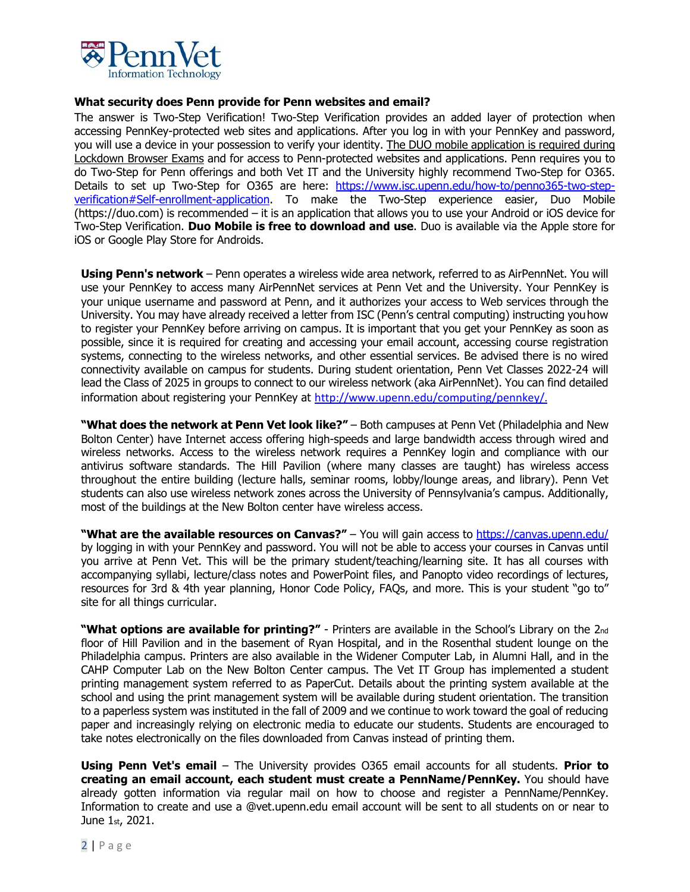

## **What security does Penn provide for Penn websites and email?**

The answer is Two-Step Verification! Two-Step Verification provides an added layer of protection when accessing PennKey-protected web sites and applications. After you log in with your PennKey and password, you will use a device in your possession to verify your identity. The DUO mobile application is required during Lockdown Browser Exams and for access to Penn-protected websites and applications. Penn requires you to do Two-Step for Penn offerings and both Vet IT and the University highly recommend Two-Step for O365. Details to set up Two-Step for O365 are here: https://www.isc.upenn.edu/how-to/penno365-two-stepverification#Self-enrollment-application. To make the Two-Step experience easier, Duo Mobile (https://duo.com) is recommended – it is an application that allows you to use your Android or iOS device for Two-Step Verification. **Duo Mobile is free to download and use**. Duo is available via the Apple store for iOS or Google Play Store for Androids.

**Using Penn's network** – Penn operates a wireless wide area network, referred to as AirPennNet. You will use your PennKey to access many AirPennNet services at Penn Vet and the University. Your PennKey is your unique username and password at Penn, and it authorizes your access to Web services through the University. You may have already received a letter from ISC (Penn's central computing) instructing youhow to register your PennKey before arriving on campus. It is important that you get your PennKey as soon as possible, since it is required for creating and accessing your email account, accessing course registration systems, connecting to the wireless networks, and other essential services. Be advised there is no wired connectivity available on campus for students. During student orientation, Penn Vet Classes 2022-24 will lead the Class of 2025 in groups to connect to our wireless network (aka AirPennNet). You can find detailed information about registering your PennKey at http://www.upenn.edu/computing/pennkey/.

**"What does the network at Penn Vet look like?"** – Both campuses at Penn Vet (Philadelphia and New Bolton Center) have Internet access offering high-speeds and large bandwidth access through wired and wireless networks. Access to the wireless network requires a PennKey login and compliance with our antivirus software standards. The Hill Pavilion (where many classes are taught) has wireless access throughout the entire building (lecture halls, seminar rooms, lobby/lounge areas, and library). Penn Vet students can also use wireless network zones across the University of Pennsylvania's campus. Additionally, most of the buildings at the New Bolton center have wireless access.

**"What are the available resources on Canvas?"** – You will gain access to https://canvas.upenn.edu/ by logging in with your PennKey and password. You will not be able to access your courses in Canvas until you arrive at Penn Vet. This will be the primary student/teaching/learning site. It has all courses with accompanying syllabi, lecture/class notes and PowerPoint files, and Panopto video recordings of lectures, resources for 3rd & 4th year planning, Honor Code Policy, FAQs, and more. This is your student "go to" site for all things curricular.

"What options are available for printing?" - Printers are available in the School's Library on the 2nd floor of Hill Pavilion and in the basement of Ryan Hospital, and in the Rosenthal student lounge on the Philadelphia campus. Printers are also available in the Widener Computer Lab, in Alumni Hall, and in the CAHP Computer Lab on the New Bolton Center campus. The Vet IT Group has implemented a student printing management system referred to as PaperCut. Details about the printing system available at the school and using the print management system will be available during student orientation. The transition to a paperless system was instituted in the fall of 2009 and we continue to work toward the goal of reducing paper and increasingly relying on electronic media to educate our students. Students are encouraged to take notes electronically on the files downloaded from Canvas instead of printing them.

**Using Penn Vet's email** – The University provides O365 email accounts for all students. **Prior to creating an email account, each student must create a PennName/PennKey.** You should have already gotten information via regular mail on how to choose and register a PennName/PennKey. Information to create and use a @vet.upenn.edu email account will be sent to all students on or near to June 1st, 2021.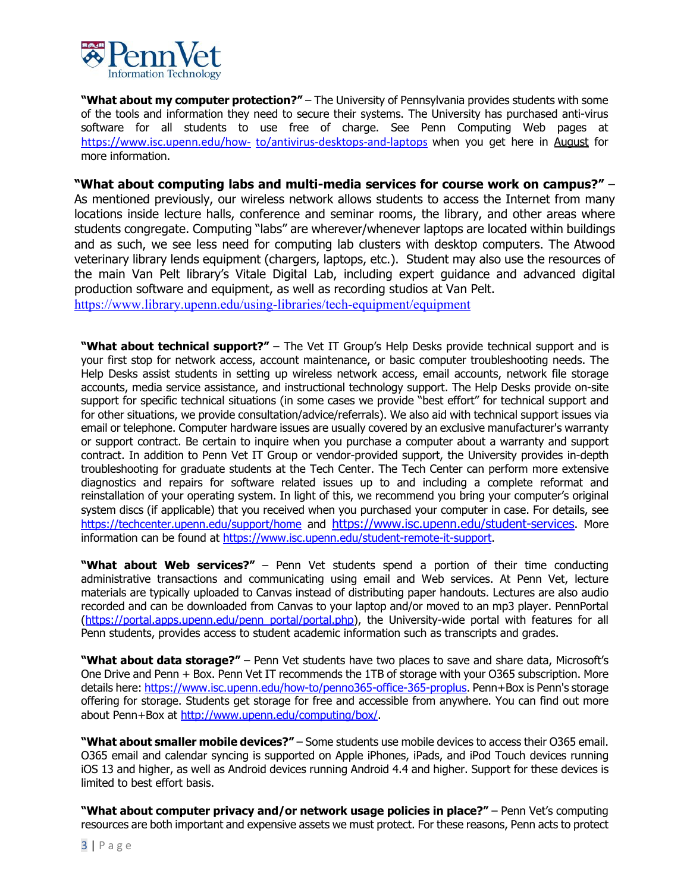

"What about my computer protection?" - The University of Pennsylvania provides students with some of the tools and information they need to secure their systems. The University has purchased anti-virus software for all students to use free of charge. See Penn Computing Web pages at https://www.isc.upenn.edu/how- to/antivirus-desktops-and-laptops when you get here in August for more information.

**"What about computing labs and multi-media services for course work on campus?"** – As mentioned previously, our wireless network allows students to access the Internet from many locations inside lecture halls, conference and seminar rooms, the library, and other areas where students congregate. Computing "labs" are wherever/whenever laptops are located within buildings and as such, we see less need for computing lab clusters with desktop computers. The Atwood veterinary library lends equipment (chargers, laptops, etc.). Student may also use the resources of the main Van Pelt library's Vitale Digital Lab, including expert guidance and advanced digital production software and equipment, as well as recording studios at Van Pelt.

https://www.library.upenn.edu/using-libraries/tech-equipment/equipment

**"What about technical support?"** – The Vet IT Group's Help Desks provide technical support and is your first stop for network access, account maintenance, or basic computer troubleshooting needs. The Help Desks assist students in setting up wireless network access, email accounts, network file storage accounts, media service assistance, and instructional technology support. The Help Desks provide on-site support for specific technical situations (in some cases we provide "best effort" for technical support and for other situations, we provide consultation/advice/referrals). We also aid with technical support issues via email or telephone. Computer hardware issues are usually covered by an exclusive manufacturer's warranty or support contract. Be certain to inquire when you purchase a computer about a warranty and support contract. In addition to Penn Vet IT Group or vendor-provided support, the University provides in-depth troubleshooting for graduate students at the Tech Center. The Tech Center can perform more extensive diagnostics and repairs for software related issues up to and including a complete reformat and reinstallation of your operating system. In light of this, we recommend you bring your computer's original system discs (if applicable) that you received when you purchased your computer in case. For details, see https://techcenter.upenn.edu/support/home and https://www.isc.upenn.edu/student-services. More information can be found at https://www.isc.upenn.edu/student-remote-it-support.

**"What about Web services?"** – Penn Vet students spend a portion of their time conducting administrative transactions and communicating using email and Web services. At Penn Vet, lecture materials are typically uploaded to Canvas instead of distributing paper handouts. Lectures are also audio recorded and can be downloaded from Canvas to your laptop and/or moved to an mp3 player. PennPortal (https://portal.apps.upenn.edu/penn\_portal/portal.php), the University-wide portal with features for all Penn students, provides access to student academic information such as transcripts and grades.

**"What about data storage?"** – Penn Vet students have two places to save and share data, Microsoft's One Drive and Penn + Box. Penn Vet IT recommends the 1TB of storage with your O365 subscription. More details here: https://www.isc.upenn.edu/how-to/penno365-office-365-proplus</u>. Penn+Box is Penn's storage offering for storage. Students get storage for free and accessible from anywhere. You can find out more about Penn+Box at http://www.upenn.edu/computing/box/.

**"What about smaller mobile devices?"** – Some students use mobile devices to access their O365 email. O365 email and calendar syncing is supported on Apple iPhones, iPads, and iPod Touch devices running iOS 13 and higher, as well as Android devices running Android 4.4 and higher. Support for these devices is limited to best effort basis.

**"What about computer privacy and/or network usage policies in place?"** – Penn Vet's computing resources are both important and expensive assets we must protect. For these reasons, Penn acts to protect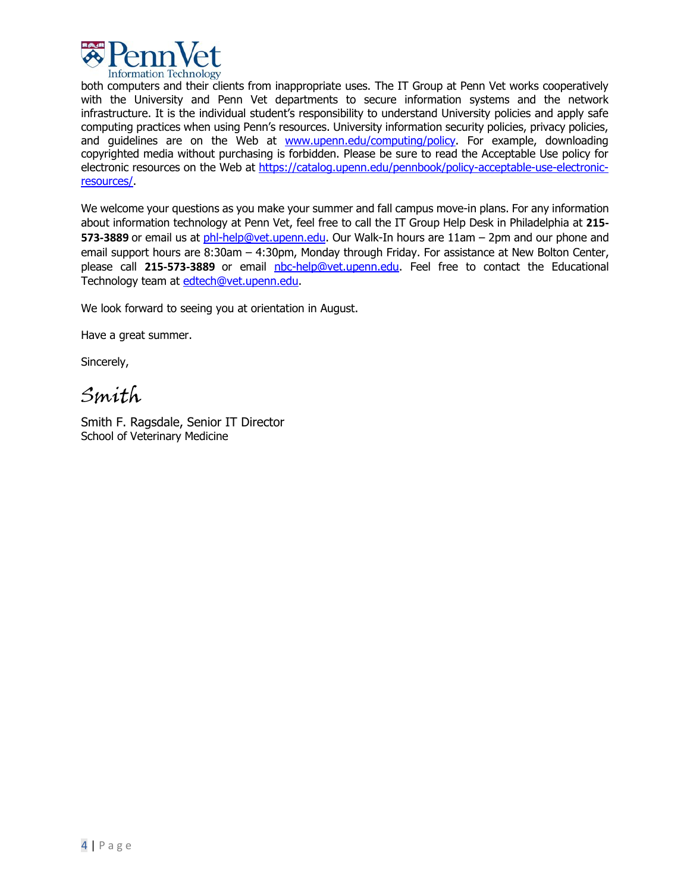

both computers and their clients from inappropriate uses. The IT Group at Penn Vet works cooperatively with the University and Penn Vet departments to secure information systems and the network infrastructure. It is the individual student's responsibility to understand University policies and apply safe computing practices when using Penn's resources. University information security policies, privacy policies, and guidelines are on the Web at www.upenn.edu/computing/policy. For example, downloading copyrighted media without purchasing is forbidden. Please be sure to read the Acceptable Use policy for electronic resources on the Web at https://catalog.upenn.edu/pennbook/policy-acceptable-use-electronicresources/.

We welcome your questions as you make your summer and fall campus move-in plans. For any information about information technology at Penn Vet, feel free to call the IT Group Help Desk in Philadelphia at **215- 573-3889** or email us at phl-help@vet.upenn.edu. Our Walk-In hours are 11am – 2pm and our phone and email support hours are 8:30am - 4:30pm, Monday through Friday. For assistance at New Bolton Center, please call **215-573-3889** or email nbc-help@vet.upenn.edu. Feel free to contact the Educational Technology team at edtech@vet.upenn.edu.

We look forward to seeing you at orientation in August.

Have a great summer.

Sincerely,

Smith

Smith F. Ragsdale, Senior IT Director School of Veterinary Medicine